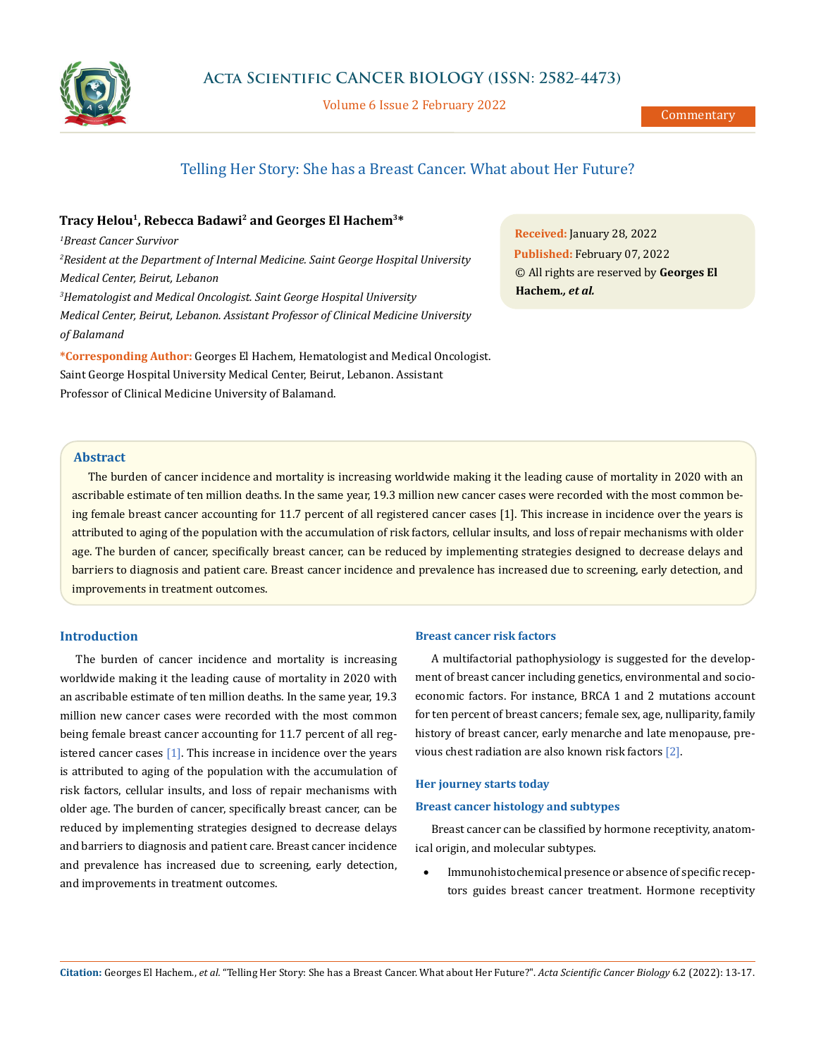

Volume 6 Issue 2 February 2022

# Telling Her Story: She has a Breast Cancer. What about Her Future?

# **Tracy Helou1, Rebecca Badawi2 and Georges El Hachem3\***

*1 Breast Cancer Survivor 2 Resident at the Department of Internal Medicine. Saint George Hospital University Medical Center, Beirut, Lebanon 3 Hematologist and Medical Oncologist. Saint George Hospital University Medical Center, Beirut, Lebanon. Assistant Professor of Clinical Medicine University of Balamand*

**\*Corresponding Author:** Georges El Hachem, Hematologist and Medical Oncologist. Saint George Hospital University Medical Center, Beirut, Lebanon. Assistant Professor of Clinical Medicine University of Balamand.

**Received:** January 28, 2022 **Published:** February 07, 2022 © All rights are reserved by **Georges El Hachem***., et al.*

## **Abstract**

The burden of cancer incidence and mortality is increasing worldwide making it the leading cause of mortality in 2020 with an ascribable estimate of ten million deaths. In the same year, 19.3 million new cancer cases were recorded with the most common being female breast cancer accounting for 11.7 percent of all registered cancer cases [1]. This increase in incidence over the years is attributed to aging of the population with the accumulation of risk factors, cellular insults, and loss of repair mechanisms with older age. The burden of cancer, specifically breast cancer, can be reduced by implementing strategies designed to decrease delays and barriers to diagnosis and patient care. Breast cancer incidence and prevalence has increased due to screening, early detection, and improvements in treatment outcomes.

#### **Introduction**

The burden of cancer incidence and mortality is increasing worldwide making it the leading cause of mortality in 2020 with an ascribable estimate of ten million deaths. In the same year, 19.3 million new cancer cases were recorded with the most common being female breast cancer accounting for 11.7 percent of all registered cancer cases  $[1]$ . This increase in incidence over the years is attributed to aging of the population with the accumulation of risk factors, cellular insults, and loss of repair mechanisms with older age. The burden of cancer, specifically breast cancer, can be reduced by implementing strategies designed to decrease delays and barriers to diagnosis and patient care. Breast cancer incidence and prevalence has increased due to screening, early detection, and improvements in treatment outcomes.

### **Breast cancer risk factors**

A multifactorial pathophysiology is suggested for the development of breast cancer including genetics, environmental and socioeconomic factors. For instance, BRCA 1 and 2 mutations account for ten percent of breast cancers; female sex, age, nulliparity, family history of breast cancer, early menarche and late menopause, previous chest radiation are also known risk factors [2].

### **Her journey starts today**

### **Breast cancer histology and subtypes**

Breast cancer can be classified by hormone receptivity, anatomical origin, and molecular subtypes.

Immunohistochemical presence or absence of specific receptors guides breast cancer treatment. Hormone receptivity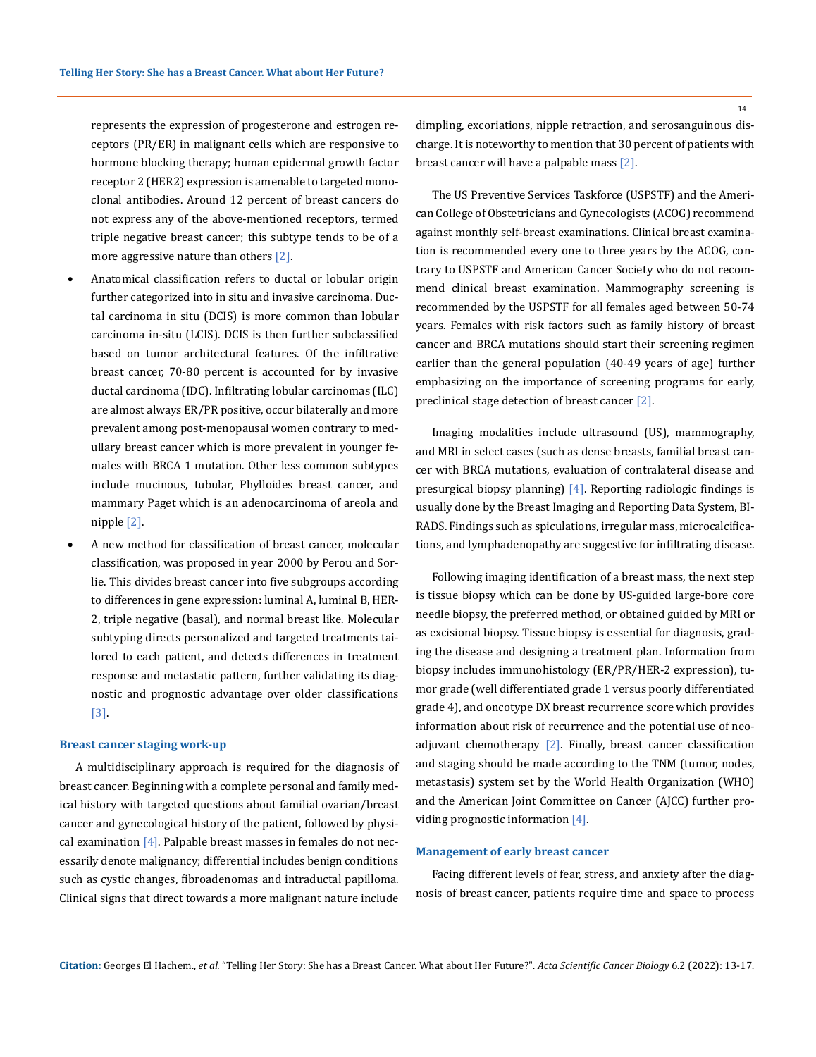represents the expression of progesterone and estrogen receptors (PR/ER) in malignant cells which are responsive to hormone blocking therapy; human epidermal growth factor receptor 2 (HER2) expression is amenable to targeted monoclonal antibodies. Around 12 percent of breast cancers do not express any of the above-mentioned receptors, termed triple negative breast cancer; this subtype tends to be of a more aggressive nature than others [2].

- Anatomical classification refers to ductal or lobular origin further categorized into in situ and invasive carcinoma. Ductal carcinoma in situ (DCIS) is more common than lobular carcinoma in-situ (LCIS). DCIS is then further subclassified based on tumor architectural features. Of the infiltrative breast cancer, 70-80 percent is accounted for by invasive ductal carcinoma (IDC). Infiltrating lobular carcinomas (ILC) are almost always ER/PR positive, occur bilaterally and more prevalent among post-menopausal women contrary to medullary breast cancer which is more prevalent in younger females with BRCA 1 mutation. Other less common subtypes include mucinous, tubular, Phylloides breast cancer, and mammary Paget which is an adenocarcinoma of areola and nipple [2].
- A new method for classification of breast cancer, molecular classification, was proposed in year 2000 by Perou and Sorlie. This divides breast cancer into five subgroups according to differences in gene expression: luminal A, luminal B, HER-2, triple negative (basal), and normal breast like. Molecular subtyping directs personalized and targeted treatments tailored to each patient, and detects differences in treatment response and metastatic pattern, further validating its diagnostic and prognostic advantage over older classifications [3].

#### **Breast cancer staging work-up**

A multidisciplinary approach is required for the diagnosis of breast cancer. Beginning with a complete personal and family medical history with targeted questions about familial ovarian/breast cancer and gynecological history of the patient, followed by physical examination  $[4]$ . Palpable breast masses in females do not necessarily denote malignancy; differential includes benign conditions such as cystic changes, fibroadenomas and intraductal papilloma. Clinical signs that direct towards a more malignant nature include 14

dimpling, excoriations, nipple retraction, and serosanguinous discharge. It is noteworthy to mention that 30 percent of patients with breast cancer will have a palpable mass [2].

The US Preventive Services Taskforce (USPSTF) and the American College of Obstetricians and Gynecologists (ACOG) recommend against monthly self-breast examinations. Clinical breast examination is recommended every one to three years by the ACOG, contrary to USPSTF and American Cancer Society who do not recommend clinical breast examination. Mammography screening is recommended by the USPSTF for all females aged between 50-74 years. Females with risk factors such as family history of breast cancer and BRCA mutations should start their screening regimen earlier than the general population (40-49 years of age) further emphasizing on the importance of screening programs for early, preclinical stage detection of breast cancer [2].

Imaging modalities include ultrasound (US), mammography, and MRI in select cases (such as dense breasts, familial breast cancer with BRCA mutations, evaluation of contralateral disease and presurgical biopsy planning) [4]. Reporting radiologic findings is usually done by the Breast Imaging and Reporting Data System, BI-RADS. Findings such as spiculations, irregular mass, microcalcifications, and lymphadenopathy are suggestive for infiltrating disease.

Following imaging identification of a breast mass, the next step is tissue biopsy which can be done by US-guided large-bore core needle biopsy, the preferred method, or obtained guided by MRI or as excisional biopsy. Tissue biopsy is essential for diagnosis, grading the disease and designing a treatment plan. Information from biopsy includes immunohistology (ER/PR/HER-2 expression), tumor grade (well differentiated grade 1 versus poorly differentiated grade 4), and oncotype DX breast recurrence score which provides information about risk of recurrence and the potential use of neoadjuvant chemotherapy  $[2]$ . Finally, breast cancer classification and staging should be made according to the TNM (tumor, nodes, metastasis) system set by the World Health Organization (WHO) and the American Joint Committee on Cancer (AJCC) further providing prognostic information [4].

#### **Management of early breast cancer**

Facing different levels of fear, stress, and anxiety after the diagnosis of breast cancer, patients require time and space to process

**Citation:** Georges El Hachem., *et al.* "Telling Her Story: She has a Breast Cancer. What about Her Future?". *Acta Scientific Cancer Biology* 6.2 (2022): 13-17.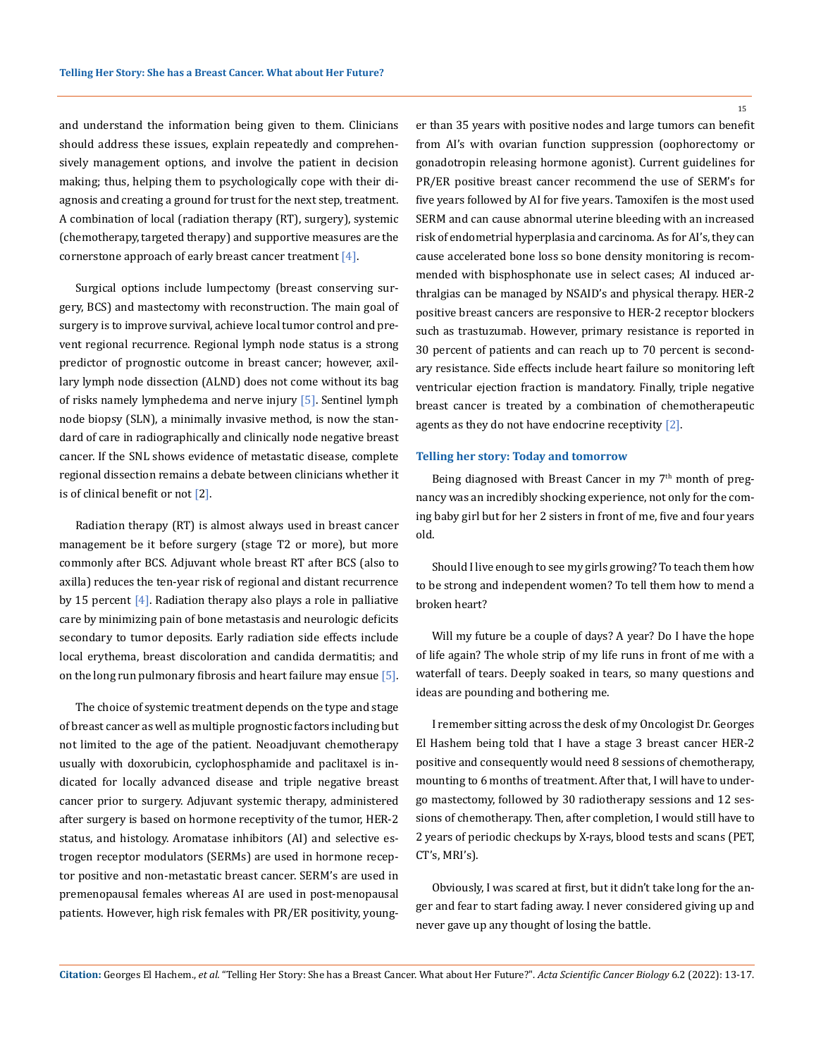and understand the information being given to them. Clinicians should address these issues, explain repeatedly and comprehensively management options, and involve the patient in decision making; thus, helping them to psychologically cope with their diagnosis and creating a ground for trust for the next step, treatment. A combination of local (radiation therapy (RT), surgery), systemic (chemotherapy, targeted therapy) and supportive measures are the cornerstone approach of early breast cancer treatment  $[4]$ .

Surgical options include lumpectomy (breast conserving surgery, BCS) and mastectomy with reconstruction. The main goal of surgery is to improve survival, achieve local tumor control and prevent regional recurrence. Regional lymph node status is a strong predictor of prognostic outcome in breast cancer; however, axillary lymph node dissection (ALND) does not come without its bag of risks namely lymphedema and nerve injury [5]. Sentinel lymph node biopsy (SLN), a minimally invasive method, is now the standard of care in radiographically and clinically node negative breast cancer. If the SNL shows evidence of metastatic disease, complete regional dissection remains a debate between clinicians whether it is of clinical benefit or not [2].

Radiation therapy (RT) is almost always used in breast cancer management be it before surgery (stage T2 or more), but more commonly after BCS. Adjuvant whole breast RT after BCS (also to axilla) reduces the ten-year risk of regional and distant recurrence by 15 percent  $[4]$ . Radiation therapy also plays a role in palliative care by minimizing pain of bone metastasis and neurologic deficits secondary to tumor deposits. Early radiation side effects include local erythema, breast discoloration and candida dermatitis; and on the long run pulmonary fibrosis and heart failure may ensue [5].

The choice of systemic treatment depends on the type and stage of breast cancer as well as multiple prognostic factors including but not limited to the age of the patient. Neoadjuvant chemotherapy usually with doxorubicin, cyclophosphamide and paclitaxel is indicated for locally advanced disease and triple negative breast cancer prior to surgery. Adjuvant systemic therapy, administered after surgery is based on hormone receptivity of the tumor, HER-2 status, and histology. Aromatase inhibitors (AI) and selective estrogen receptor modulators (SERMs) are used in hormone receptor positive and non-metastatic breast cancer. SERM's are used in premenopausal females whereas AI are used in post-menopausal patients. However, high risk females with PR/ER positivity, younger than 35 years with positive nodes and large tumors can benefit from AI's with ovarian function suppression (oophorectomy or gonadotropin releasing hormone agonist). Current guidelines for PR/ER positive breast cancer recommend the use of SERM's for five years followed by AI for five years. Tamoxifen is the most used SERM and can cause abnormal uterine bleeding with an increased risk of endometrial hyperplasia and carcinoma. As for AI's, they can cause accelerated bone loss so bone density monitoring is recommended with bisphosphonate use in select cases; AI induced arthralgias can be managed by NSAID's and physical therapy. HER-2 positive breast cancers are responsive to HER-2 receptor blockers such as trastuzumab. However, primary resistance is reported in 30 percent of patients and can reach up to 70 percent is secondary resistance. Side effects include heart failure so monitoring left ventricular ejection fraction is mandatory. Finally, triple negative breast cancer is treated by a combination of chemotherapeutic agents as they do not have endocrine receptivity [2].

#### **Telling her story: Today and tomorrow**

Being diagnosed with Breast Cancer in my  $7<sup>th</sup>$  month of pregnancy was an incredibly shocking experience, not only for the coming baby girl but for her 2 sisters in front of me, five and four years old.

Should I live enough to see my girls growing? To teach them how to be strong and independent women? To tell them how to mend a broken heart?

Will my future be a couple of days? A year? Do I have the hope of life again? The whole strip of my life runs in front of me with a waterfall of tears. Deeply soaked in tears, so many questions and ideas are pounding and bothering me.

I remember sitting across the desk of my Oncologist Dr. Georges El Hashem being told that I have a stage 3 breast cancer HER-2 positive and consequently would need 8 sessions of chemotherapy, mounting to 6 months of treatment. After that, I will have to undergo mastectomy, followed by 30 radiotherapy sessions and 12 sessions of chemotherapy. Then, after completion, I would still have to 2 years of periodic checkups by X-rays, blood tests and scans (PET, CT's, MRI's).

Obviously, I was scared at first, but it didn't take long for the anger and fear to start fading away. I never considered giving up and never gave up any thought of losing the battle.

15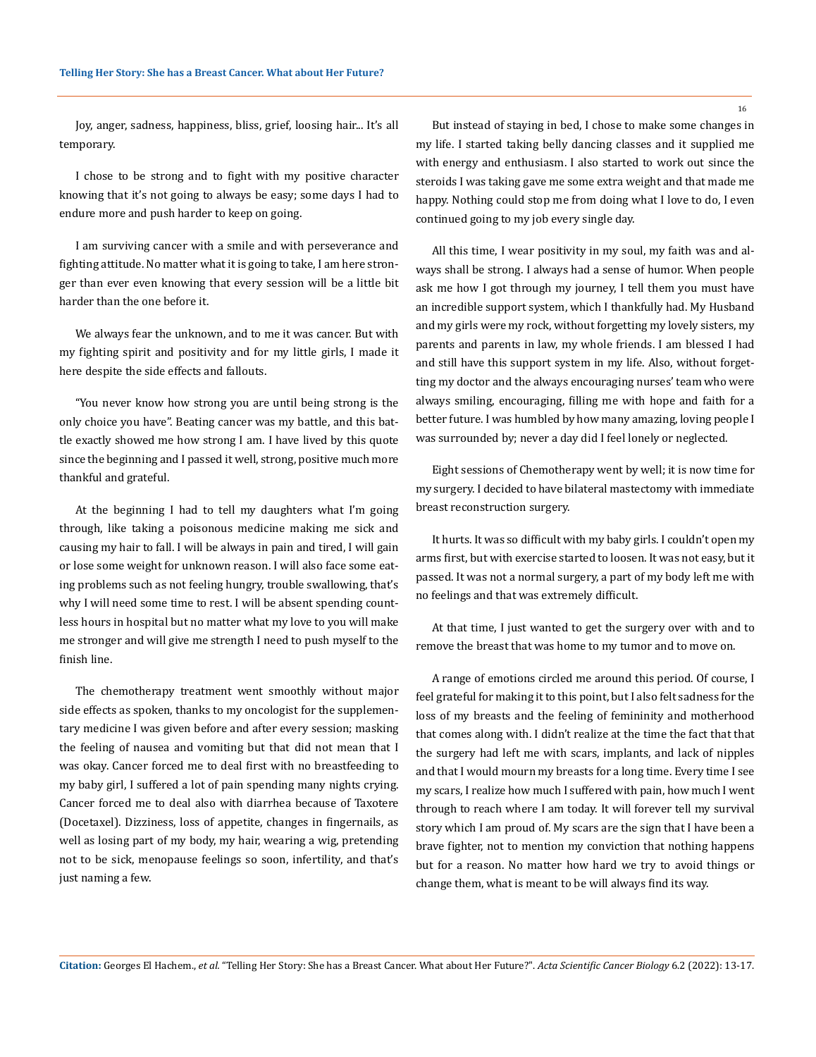Joy, anger, sadness, happiness, bliss, grief, loosing hair... It's all temporary.

I chose to be strong and to fight with my positive character knowing that it's not going to always be easy; some days I had to endure more and push harder to keep on going.

I am surviving cancer with a smile and with perseverance and fighting attitude. No matter what it is going to take, I am here stronger than ever even knowing that every session will be a little bit harder than the one before it.

We always fear the unknown, and to me it was cancer. But with my fighting spirit and positivity and for my little girls, I made it here despite the side effects and fallouts.

"You never know how strong you are until being strong is the only choice you have". Beating cancer was my battle, and this battle exactly showed me how strong I am. I have lived by this quote since the beginning and I passed it well, strong, positive much more thankful and grateful.

At the beginning I had to tell my daughters what I'm going through, like taking a poisonous medicine making me sick and causing my hair to fall. I will be always in pain and tired, I will gain or lose some weight for unknown reason. I will also face some eating problems such as not feeling hungry, trouble swallowing, that's why I will need some time to rest. I will be absent spending countless hours in hospital but no matter what my love to you will make me stronger and will give me strength I need to push myself to the finish line.

The chemotherapy treatment went smoothly without major side effects as spoken, thanks to my oncologist for the supplementary medicine I was given before and after every session; masking the feeling of nausea and vomiting but that did not mean that I was okay. Cancer forced me to deal first with no breastfeeding to my baby girl, I suffered a lot of pain spending many nights crying. Cancer forced me to deal also with diarrhea because of Taxotere (Docetaxel). Dizziness, loss of appetite, changes in fingernails, as well as losing part of my body, my hair, wearing a wig, pretending not to be sick, menopause feelings so soon, infertility, and that's just naming a few.

But instead of staying in bed, I chose to make some changes in my life. I started taking belly dancing classes and it supplied me with energy and enthusiasm. I also started to work out since the steroids I was taking gave me some extra weight and that made me happy. Nothing could stop me from doing what I love to do, I even continued going to my job every single day.

All this time, I wear positivity in my soul, my faith was and always shall be strong. I always had a sense of humor. When people ask me how I got through my journey, I tell them you must have an incredible support system, which I thankfully had. My Husband and my girls were my rock, without forgetting my lovely sisters, my parents and parents in law, my whole friends. I am blessed I had and still have this support system in my life. Also, without forgetting my doctor and the always encouraging nurses' team who were always smiling, encouraging, filling me with hope and faith for a better future. I was humbled by how many amazing, loving people I was surrounded by; never a day did I feel lonely or neglected.

Eight sessions of Chemotherapy went by well; it is now time for my surgery. I decided to have bilateral mastectomy with immediate breast reconstruction surgery.

It hurts. It was so difficult with my baby girls. I couldn't open my arms first, but with exercise started to loosen. It was not easy, but it passed. It was not a normal surgery, a part of my body left me with no feelings and that was extremely difficult.

At that time, I just wanted to get the surgery over with and to remove the breast that was home to my tumor and to move on.

A range of emotions circled me around this period. Of course, I feel grateful for making it to this point, but I also felt sadness for the loss of my breasts and the feeling of femininity and motherhood that comes along with. I didn't realize at the time the fact that that the surgery had left me with scars, implants, and lack of nipples and that I would mourn my breasts for a long time. Every time I see my scars, I realize how much I suffered with pain, how much I went through to reach where I am today. It will forever tell my survival story which I am proud of. My scars are the sign that I have been a brave fighter, not to mention my conviction that nothing happens but for a reason. No matter how hard we try to avoid things or change them, what is meant to be will always find its way.

**Citation:** Georges El Hachem., *et al.* "Telling Her Story: She has a Breast Cancer. What about Her Future?". *Acta Scientific Cancer Biology* 6.2 (2022): 13-17.

16